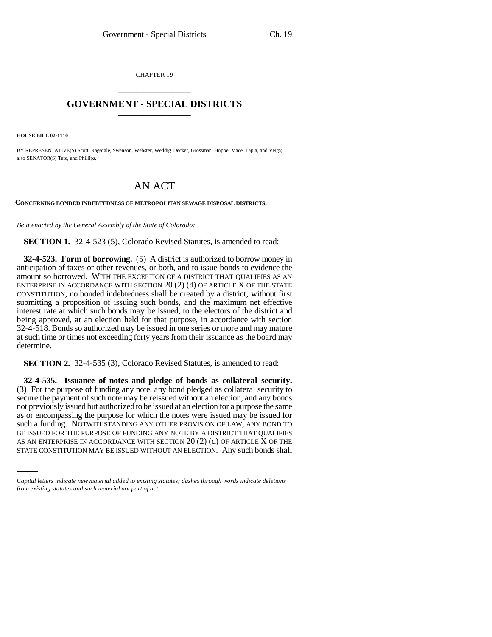CHAPTER 19 \_\_\_\_\_\_\_\_\_\_\_\_\_\_\_

## **GOVERNMENT - SPECIAL DISTRICTS** \_\_\_\_\_\_\_\_\_\_\_\_\_\_\_

**HOUSE BILL 02-1110**

BY REPRESENTATIVE(S) Scott, Ragsdale, Swenson, Webster, Weddig, Decker, Grossman, Hoppe, Mace, Tapia, and Veiga; also SENATOR(S) Tate, and Phillips.

## AN ACT

**CONCERNING BONDED INDEBTEDNESS OF METROPOLITAN SEWAGE DISPOSAL DISTRICTS.**

*Be it enacted by the General Assembly of the State of Colorado:*

**SECTION 1.** 32-4-523 (5), Colorado Revised Statutes, is amended to read:

**32-4-523. Form of borrowing.** (5) A district is authorized to borrow money in anticipation of taxes or other revenues, or both, and to issue bonds to evidence the amount so borrowed. WITH THE EXCEPTION OF A DISTRICT THAT QUALIFIES AS AN ENTERPRISE IN ACCORDANCE WITH SECTION  $20(2)$  (d) OF ARTICLE X OF THE STATE CONSTITUTION, no bonded indebtedness shall be created by a district, without first submitting a proposition of issuing such bonds, and the maximum net effective interest rate at which such bonds may be issued, to the electors of the district and being approved, at an election held for that purpose, in accordance with section 32-4-518. Bonds so authorized may be issued in one series or more and may mature at such time or times not exceeding forty years from their issuance as the board may determine.

**SECTION 2.** 32-4-535 (3), Colorado Revised Statutes, is amended to read:

BE ISSUED FOR THE PURPOSE OF FUNDING ANY NOTE BY A DISTRICT THAT QUALIFIES **32-4-535. Issuance of notes and pledge of bonds as collateral security.** (3) For the purpose of funding any note, any bond pledged as collateral security to secure the payment of such note may be reissued without an election, and any bonds not previously issued but authorized to be issued at an election for a purpose the same as or encompassing the purpose for which the notes were issued may be issued for such a funding. NOTWITHSTANDING ANY OTHER PROVISION OF LAW, ANY BOND TO AS AN ENTERPRISE IN ACCORDANCE WITH SECTION  $20(2)(d)$  OF ARTICLE X OF THE STATE CONSTITUTION MAY BE ISSUED WITHOUT AN ELECTION. Any such bonds shall

*Capital letters indicate new material added to existing statutes; dashes through words indicate deletions from existing statutes and such material not part of act.*